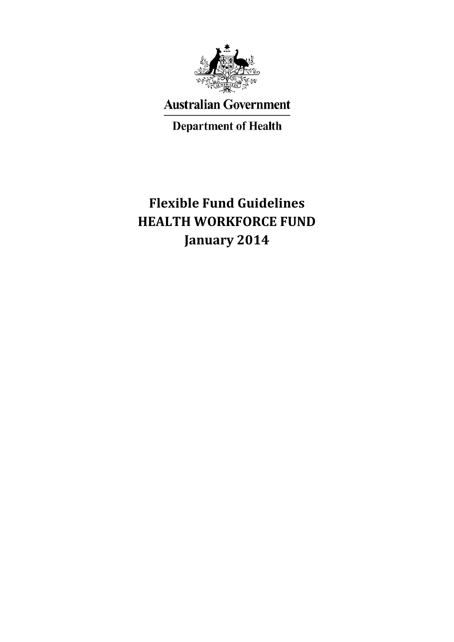

**Australian Government** 

**Department of Health** 

# **Flexible Fund Guidelines HEALTH WORKFORCE FUND January 2014**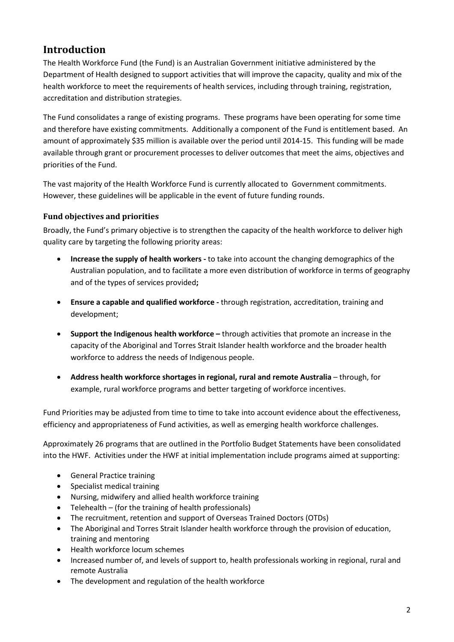# **Introduction**

The Health Workforce Fund (the Fund) is an Australian Government initiative administered by the Department of Health designed to support activities that will improve the capacity, quality and mix of the health workforce to meet the requirements of health services, including through training, registration, accreditation and distribution strategies.

The Fund consolidates a range of existing programs. These programs have been operating for some time and therefore have existing commitments. Additionally a component of the Fund is entitlement based. An amount of approximately \$35 million is available over the period until 2014-15. This funding will be made available through grant or procurement processes to deliver outcomes that meet the aims, objectives and priorities of the Fund.

The vast majority of the Health Workforce Fund is currently allocated to Government commitments. However, these guidelines will be applicable in the event of future funding rounds.

# **Fund objectives and priorities**

Broadly, the Fund's primary objective is to strengthen the capacity of the health workforce to deliver high quality care by targeting the following priority areas:

- **Increase the supply of health workers -** to take into account the changing demographics of the Australian population, and to facilitate a more even distribution of workforce in terms of geography and of the types of services provided**;**
- **Ensure a capable and qualified workforce -** through registration, accreditation, training and development;
- **Support the Indigenous health workforce –** through activities that promote an increase in the capacity of the Aboriginal and Torres Strait Islander health workforce and the broader health workforce to address the needs of Indigenous people.
- **Address health workforce shortages in regional, rural and remote Australia** through, for example, rural workforce programs and better targeting of workforce incentives.

Fund Priorities may be adjusted from time to time to take into account evidence about the effectiveness, efficiency and appropriateness of Fund activities, as well as emerging health workforce challenges.

Approximately 26 programs that are outlined in the Portfolio Budget Statements have been consolidated into the HWF. Activities under the HWF at initial implementation include programs aimed at supporting:

- General Practice training
- Specialist medical training
- Nursing, midwifery and allied health workforce training
- Telehealth (for the training of health professionals)
- The recruitment, retention and support of Overseas Trained Doctors (OTDs)
- The Aboriginal and Torres Strait Islander health workforce through the provision of education, training and mentoring
- Health workforce locum schemes
- Increased number of, and levels of support to, health professionals working in regional, rural and remote Australia
- The development and regulation of the health workforce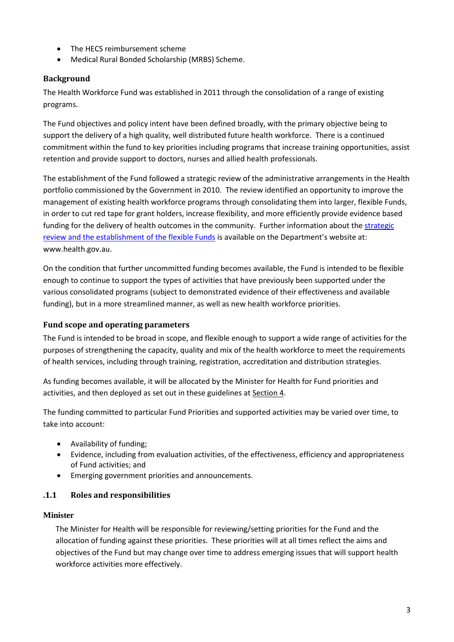- The HECS reimbursement scheme
- Medical Rural Bonded Scholarship (MRBS) Scheme.

### **Background**

The Health Workforce Fund was established in 2011 through the consolidation of a range of existing programs.

The Fund objectives and policy intent have been defined broadly, with the primary objective being to support the delivery of a high quality, well distributed future health workforce. There is a continued commitment within the fund to key priorities including programs that increase training opportunities, assist retention and provide support to doctors, nurses and allied health professionals.

The establishment of the Fund followed a strategic review of the administrative arrangements in the Health portfolio commissioned by the Government in 2010. The review identified an opportunity to improve the management of existing health workforce programs through consolidating them into larger, flexible Funds, in order to cut red tape for grant holders, increase flexibility, and more efficiently provide evidence based funding for the delivery of health outcomes in the community. Further information about the [strategic](http://www.health.gov.au/)  [review and the establishment of the flexible Funds](http://www.health.gov.au/) is available on the Department's website at: www.health.gov.au.

On the condition that further uncommitted funding becomes available, the Fund is intended to be flexible enough to continue to support the types of activities that have previously been supported under the various consolidated programs (subject to demonstrated evidence of their effectiveness and available funding), but in a more streamlined manner, as well as new health workforce priorities.

### **Fund scope and operating parameters**

The Fund is intended to be broad in scope, and flexible enough to support a wide range of activities for the purposes of strengthening the capacity, quality and mix of the health workforce to meet the requirements of health services, including through training, registration, accreditation and distribution strategies.

As funding becomes available, it will be allocated by the Minister for Health for Fund priorities and activities, and then deployed as set out in these guidelines at Section 4.

The funding committed to particular Fund Priorities and supported activities may be varied over time, to take into account:

- Availability of funding;
- Evidence, including from evaluation activities, of the effectiveness, efficiency and appropriateness of Fund activities; and
- Emerging government priorities and announcements.

### **.1.1 Roles and responsibilities**

### **Minister**

The Minister for Health will be responsible for reviewing/setting priorities for the Fund and the allocation of funding against these priorities. These priorities will at all times reflect the aims and objectives of the Fund but may change over time to address emerging issues that will support health workforce activities more effectively.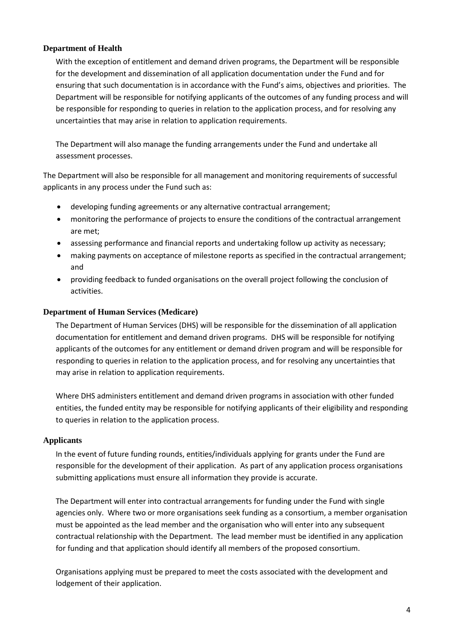#### **Department of Health**

With the exception of entitlement and demand driven programs, the Department will be responsible for the development and dissemination of all application documentation under the Fund and for ensuring that such documentation is in accordance with the Fund's aims, objectives and priorities. The Department will be responsible for notifying applicants of the outcomes of any funding process and will be responsible for responding to queries in relation to the application process, and for resolving any uncertainties that may arise in relation to application requirements.

The Department will also manage the funding arrangements under the Fund and undertake all assessment processes.

The Department will also be responsible for all management and monitoring requirements of successful applicants in any process under the Fund such as:

- developing funding agreements or any alternative contractual arrangement;
- monitoring the performance of projects to ensure the conditions of the contractual arrangement are met;
- assessing performance and financial reports and undertaking follow up activity as necessary;
- making payments on acceptance of milestone reports as specified in the contractual arrangement; and
- providing feedback to funded organisations on the overall project following the conclusion of activities.

#### **Department of Human Services (Medicare)**

The Department of Human Services (DHS) will be responsible for the dissemination of all application documentation for entitlement and demand driven programs. DHS will be responsible for notifying applicants of the outcomes for any entitlement or demand driven program and will be responsible for responding to queries in relation to the application process, and for resolving any uncertainties that may arise in relation to application requirements.

Where DHS administers entitlement and demand driven programs in association with other funded entities, the funded entity may be responsible for notifying applicants of their eligibility and responding to queries in relation to the application process.

#### **Applicants**

In the event of future funding rounds, entities/individuals applying for grants under the Fund are responsible for the development of their application. As part of any application process organisations submitting applications must ensure all information they provide is accurate.

The Department will enter into contractual arrangements for funding under the Fund with single agencies only. Where two or more organisations seek funding as a consortium, a member organisation must be appointed as the lead member and the organisation who will enter into any subsequent contractual relationship with the Department. The lead member must be identified in any application for funding and that application should identify all members of the proposed consortium.

Organisations applying must be prepared to meet the costs associated with the development and lodgement of their application.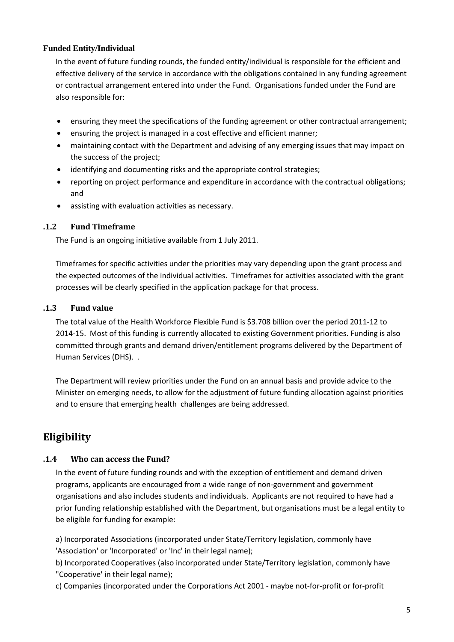### **Funded Entity/Individual**

In the event of future funding rounds, the funded entity/individual is responsible for the efficient and effective delivery of the service in accordance with the obligations contained in any funding agreement or contractual arrangement entered into under the Fund. Organisations funded under the Fund are also responsible for:

- ensuring they meet the specifications of the funding agreement or other contractual arrangement;
- ensuring the project is managed in a cost effective and efficient manner;
- maintaining contact with the Department and advising of any emerging issues that may impact on the success of the project;
- identifying and documenting risks and the appropriate control strategies;
- reporting on project performance and expenditure in accordance with the contractual obligations; and
- assisting with evaluation activities as necessary.

### **.1.2 Fund Timeframe**

The Fund is an ongoing initiative available from 1 July 2011.

Timeframes for specific activities under the priorities may vary depending upon the grant process and the expected outcomes of the individual activities. Timeframes for activities associated with the grant processes will be clearly specified in the application package for that process.

### **.1.3 Fund value**

The total value of the Health Workforce Flexible Fund is \$3.708 billion over the period 2011-12 to 2014-15. Most of this funding is currently allocated to existing Government priorities. Funding is also committed through grants and demand driven/entitlement programs delivered by the Department of Human Services (DHS). .

The Department will review priorities under the Fund on an annual basis and provide advice to the Minister on emerging needs, to allow for the adjustment of future funding allocation against priorities and to ensure that emerging health challenges are being addressed.

# **Eligibility**

### **.1.4 Who can access the Fund?**

In the event of future funding rounds and with the exception of entitlement and demand driven programs, applicants are encouraged from a wide range of non-government and government organisations and also includes students and individuals. Applicants are not required to have had a prior funding relationship established with the Department, but organisations must be a legal entity to be eligible for funding for example:

a) Incorporated Associations (incorporated under State/Territory legislation, commonly have 'Association' or 'Incorporated' or 'Inc' in their legal name);

b) Incorporated Cooperatives (also incorporated under State/Territory legislation, commonly have "Cooperative' in their legal name);

c) Companies (incorporated under the Corporations Act 2001 - maybe not-for-profit or for-profit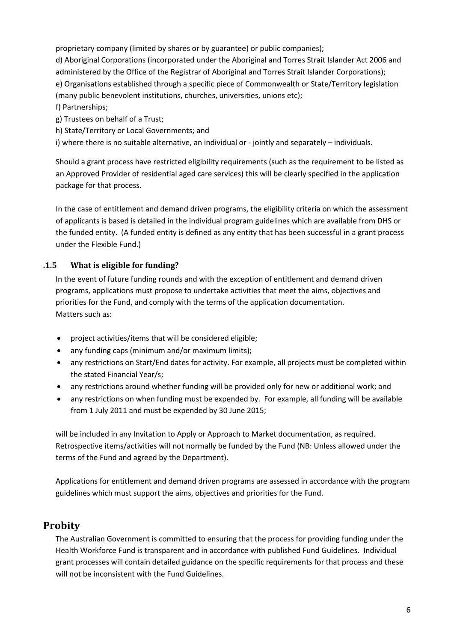proprietary company (limited by shares or by guarantee) or public companies);

d) Aboriginal Corporations (incorporated under the Aboriginal and Torres Strait Islander Act 2006 and administered by the Office of the Registrar of Aboriginal and Torres Strait Islander Corporations); e) Organisations established through a specific piece of Commonwealth or State/Territory legislation (many public benevolent institutions, churches, universities, unions etc);

- f) Partnerships;
- g) Trustees on behalf of a Trust;
- h) State/Territory or Local Governments; and

i) where there is no suitable alternative, an individual or - jointly and separately – individuals.

Should a grant process have restricted eligibility requirements (such as the requirement to be listed as an Approved Provider of residential aged care services) this will be clearly specified in the application package for that process.

In the case of entitlement and demand driven programs, the eligibility criteria on which the assessment of applicants is based is detailed in the individual program guidelines which are available from DHS or the funded entity. (A funded entity is defined as any entity that has been successful in a grant process under the Flexible Fund.)

# **.1.5 What is eligible for funding?**

In the event of future funding rounds and with the exception of entitlement and demand driven programs, applications must propose to undertake activities that meet the aims, objectives and priorities for the Fund, and comply with the terms of the application documentation. Matters such as:

- project activities/items that will be considered eligible;
- any funding caps (minimum and/or maximum limits);
- any restrictions on Start/End dates for activity. For example, all projects must be completed within the stated Financial Year/s;
- any restrictions around whether funding will be provided only for new or additional work; and
- any restrictions on when funding must be expended by. For example, all funding will be available from 1 July 2011 and must be expended by 30 June 2015;

will be included in any Invitation to Apply or Approach to Market documentation, as required. Retrospective items/activities will not normally be funded by the Fund (NB: Unless allowed under the terms of the Fund and agreed by the Department).

Applications for entitlement and demand driven programs are assessed in accordance with the program guidelines which must support the aims, objectives and priorities for the Fund.

# **Probity**

The Australian Government is committed to ensuring that the process for providing funding under the Health Workforce Fund is transparent and in accordance with published Fund Guidelines. Individual grant processes will contain detailed guidance on the specific requirements for that process and these will not be inconsistent with the Fund Guidelines.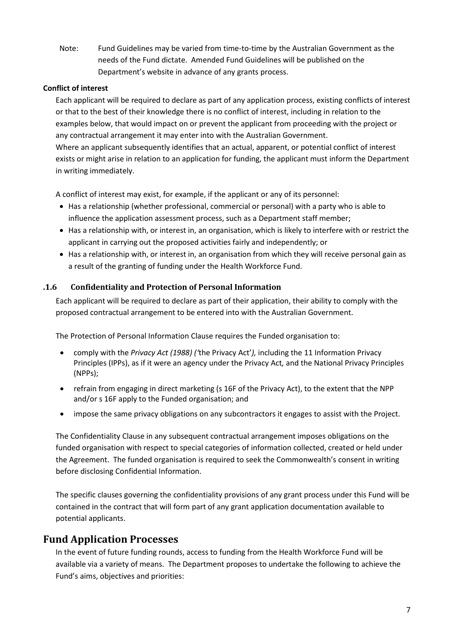Note: Fund Guidelines may be varied from time-to-time by the Australian Government as the needs of the Fund dictate. Amended Fund Guidelines will be published on the Department's website in advance of any grants process.

### **Conflict of interest**

Each applicant will be required to declare as part of any application process, existing conflicts of interest or that to the best of their knowledge there is no conflict of interest, including in relation to the examples below, that would impact on or prevent the applicant from proceeding with the project or any contractual arrangement it may enter into with the Australian Government. Where an applicant subsequently identifies that an actual, apparent, or potential conflict of interest exists or might arise in relation to an application for funding, the applicant must inform the Department in writing immediately.

A conflict of interest may exist, for example, if the applicant or any of its personnel:

- Has a relationship (whether professional, commercial or personal) with a party who is able to influence the application assessment process, such as a Department staff member;
- Has a relationship with, or interest in, an organisation, which is likely to interfere with or restrict the applicant in carrying out the proposed activities fairly and independently; or
- Has a relationship with, or interest in, an organisation from which they will receive personal gain as a result of the granting of funding under the Health Workforce Fund.

### **.1.6 Confidentiality and Protection of Personal Information**

Each applicant will be required to declare as part of their application, their ability to comply with the proposed contractual arrangement to be entered into with the Australian Government.

The Protection of Personal Information Clause requires the Funded organisation to:

- comply with the *Privacy Act (1988) ('*the Privacy Act'*),* including the 11 Information Privacy Principles (IPPs), as if it were an agency under the Privacy Act*,* and the National Privacy Principles (NPPs);
- refrain from engaging in direct marketing (s 16F of the Privacy Act), to the extent that the NPP and/or s 16F apply to the Funded organisation; and
- impose the same privacy obligations on any subcontractors it engages to assist with the Project.

The Confidentiality Clause in any subsequent contractual arrangement imposes obligations on the funded organisation with respect to special categories of information collected, created or held under the Agreement. The funded organisation is required to seek the Commonwealth's consent in writing before disclosing Confidential Information.

The specific clauses governing the confidentiality provisions of any grant process under this Fund will be contained in the contract that will form part of any grant application documentation available to potential applicants.

# **Fund Application Processes**

In the event of future funding rounds, access to funding from the Health Workforce Fund will be available via a variety of means. The Department proposes to undertake the following to achieve the Fund's aims, objectives and priorities: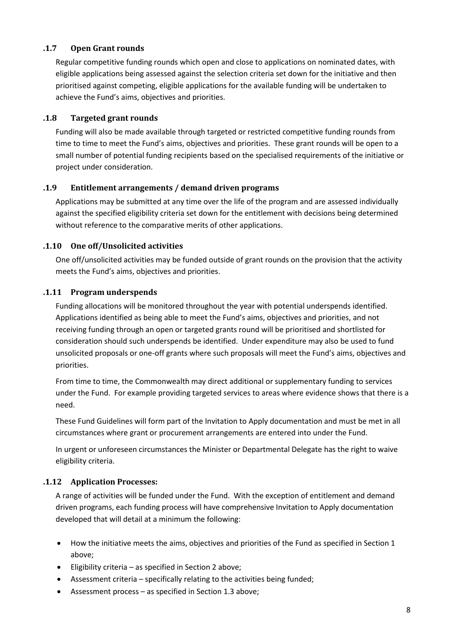### **.1.7 Open Grant rounds**

Regular competitive funding rounds which open and close to applications on nominated dates, with eligible applications being assessed against the selection criteria set down for the initiative and then prioritised against competing, eligible applications for the available funding will be undertaken to achieve the Fund's aims, objectives and priorities.

### **.1.8 Targeted grant rounds**

Funding will also be made available through targeted or restricted competitive funding rounds from time to time to meet the Fund's aims, objectives and priorities. These grant rounds will be open to a small number of potential funding recipients based on the specialised requirements of the initiative or project under consideration.

### **.1.9 Entitlement arrangements / demand driven programs**

Applications may be submitted at any time over the life of the program and are assessed individually against the specified eligibility criteria set down for the entitlement with decisions being determined without reference to the comparative merits of other applications.

### **.1.10 One off/Unsolicited activities**

One off/unsolicited activities may be funded outside of grant rounds on the provision that the activity meets the Fund's aims, objectives and priorities.

### **.1.11 Program underspends**

Funding allocations will be monitored throughout the year with potential underspends identified. Applications identified as being able to meet the Fund's aims, objectives and priorities, and not receiving funding through an open or targeted grants round will be prioritised and shortlisted for consideration should such underspends be identified. Under expenditure may also be used to fund unsolicited proposals or one-off grants where such proposals will meet the Fund's aims, objectives and priorities.

From time to time, the Commonwealth may direct additional or supplementary funding to services under the Fund. For example providing targeted services to areas where evidence shows that there is a need.

These Fund Guidelines will form part of the Invitation to Apply documentation and must be met in all circumstances where grant or procurement arrangements are entered into under the Fund.

In urgent or unforeseen circumstances the Minister or Departmental Delegate has the right to waive eligibility criteria.

### **.1.12 Application Processes:**

A range of activities will be funded under the Fund. With the exception of entitlement and demand driven programs, each funding process will have comprehensive Invitation to Apply documentation developed that will detail at a minimum the following:

- How the initiative meets the aims, objectives and priorities of the Fund as specified in Section 1 above;
- Eligibility criteria as specified in Section 2 above;
- Assessment criteria specifically relating to the activities being funded;
- Assessment process as specified in Section 1.3 above;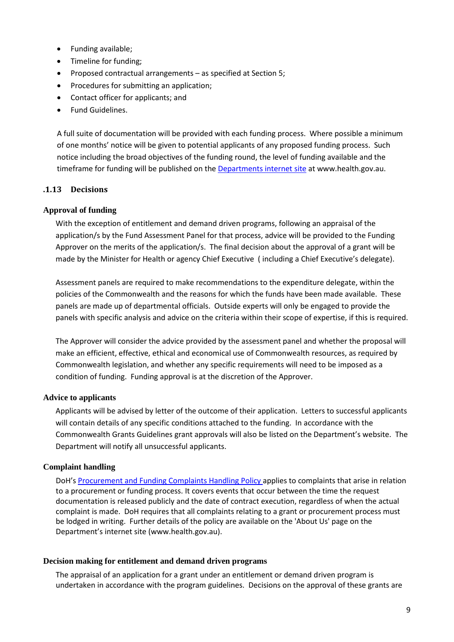- Funding available;
- Timeline for funding;
- Proposed contractual arrangements as specified at Section 5;
- Procedures for submitting an application;
- Contact officer for applicants; and
- Fund Guidelines.

A full suite of documentation will be provided with each funding process. Where possible a minimum of one months' notice will be given to potential applicants of any proposed funding process. Such notice including the broad objectives of the funding round, the level of funding available and the timeframe for funding will be published on the [Departments internet site](http://www.health.gov.au/) at www.health.gov.au.

### **.1.13 Decisions**

#### **Approval of funding**

With the exception of entitlement and demand driven programs, following an appraisal of the application/s by the Fund Assessment Panel for that process, advice will be provided to the Funding Approver on the merits of the application/s. The final decision about the approval of a grant will be made by the Minister for Health or agency Chief Executive ( including a Chief Executive's delegate).

Assessment panels are required to make recommendations to the expenditure delegate, within the policies of the Commonwealth and the reasons for which the funds have been made available. These panels are made up of departmental officials. Outside experts will only be engaged to provide the panels with specific analysis and advice on the criteria within their scope of expertise, if this is required.

The Approver will consider the advice provided by the assessment panel and whether the proposal will make an efficient, effective, ethical and economical use of Commonwealth resources, as required by Commonwealth legislation, and whether any specific requirements will need to be imposed as a condition of funding. Funding approval is at the discretion of the Approver.

#### **Advice to applicants**

Applicants will be advised by letter of the outcome of their application. Letters to successful applicants will contain details of any specific conditions attached to the funding. In accordance with the Commonwealth Grants Guidelines grant approvals will also be listed on the Department's website. The Department will notify all unsuccessful applicants.

#### **Complaint handling**

DoH's [Procurement and Funding Complaints Handling Policy a](http://www.health.gov.au/internet/main/publishing.nsf/Content/pfps-complaintsprocedures)pplies to complaints that arise in relation to a procurement or funding process. It covers events that occur between the time the request documentation is released publicly and the date of contract execution, regardless of when the actual complaint is made. DoH requires that all complaints relating to a grant or procurement process must be lodged in writing. Further details of the policy are available on the 'About Us' page on the Department's internet site (www.health.gov.au).

#### **Decision making for entitlement and demand driven programs**

The appraisal of an application for a grant under an entitlement or demand driven program is undertaken in accordance with the program guidelines. Decisions on the approval of these grants are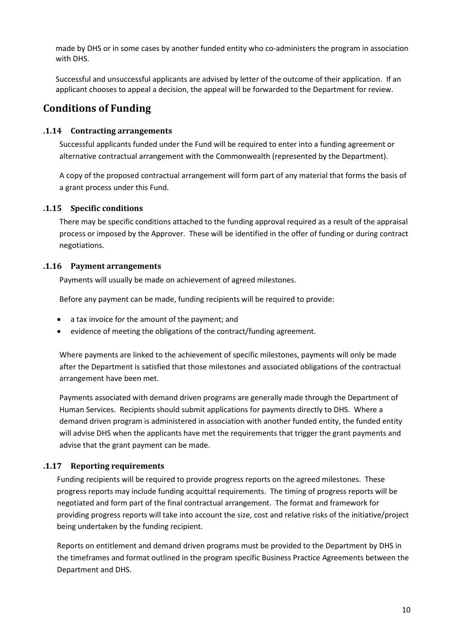made by DHS or in some cases by another funded entity who co-administers the program in association with DHS.

Successful and unsuccessful applicants are advised by letter of the outcome of their application. If an applicant chooses to appeal a decision, the appeal will be forwarded to the Department for review.

# **Conditions of Funding**

### **.1.14 Contracting arrangements**

Successful applicants funded under the Fund will be required to enter into a funding agreement or alternative contractual arrangement with the Commonwealth (represented by the Department).

A copy of the proposed contractual arrangement will form part of any material that forms the basis of a grant process under this Fund.

### **.1.15 Specific conditions**

There may be specific conditions attached to the funding approval required as a result of the appraisal process or imposed by the Approver. These will be identified in the offer of funding or during contract negotiations.

### **.1.16 Payment arrangements**

Payments will usually be made on achievement of agreed milestones.

Before any payment can be made, funding recipients will be required to provide:

- a tax invoice for the amount of the payment; and
- evidence of meeting the obligations of the contract/funding agreement.

Where payments are linked to the achievement of specific milestones, payments will only be made after the Department is satisfied that those milestones and associated obligations of the contractual arrangement have been met.

Payments associated with demand driven programs are generally made through the Department of Human Services. Recipients should submit applications for payments directly to DHS. Where a demand driven program is administered in association with another funded entity, the funded entity will advise DHS when the applicants have met the requirements that trigger the grant payments and advise that the grant payment can be made.

### **.1.17 Reporting requirements**

Funding recipients will be required to provide progress reports on the agreed milestones. These progress reports may include funding acquittal requirements. The timing of progress reports will be negotiated and form part of the final contractual arrangement. The format and framework for providing progress reports will take into account the size, cost and relative risks of the initiative/project being undertaken by the funding recipient.

Reports on entitlement and demand driven programs must be provided to the Department by DHS in the timeframes and format outlined in the program specific Business Practice Agreements between the Department and DHS.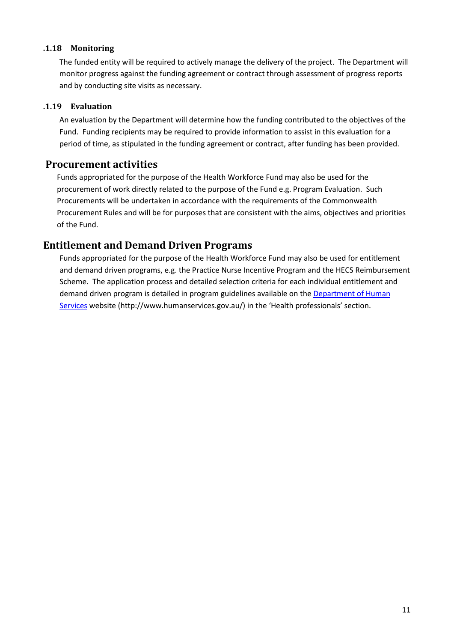### **.1.18 Monitoring**

The funded entity will be required to actively manage the delivery of the project. The Department will monitor progress against the funding agreement or contract through assessment of progress reports and by conducting site visits as necessary.

### **.1.19 Evaluation**

An evaluation by the Department will determine how the funding contributed to the objectives of the Fund. Funding recipients may be required to provide information to assist in this evaluation for a period of time, as stipulated in the funding agreement or contract, after funding has been provided.

# **Procurement activities**

Funds appropriated for the purpose of the Health Workforce Fund may also be used for the procurement of work directly related to the purpose of the Fund e.g. Program Evaluation. Such Procurements will be undertaken in accordance with the requirements of the Commonwealth Procurement Rules and will be for purposes that are consistent with the aims, objectives and priorities of the Fund.

# **Entitlement and Demand Driven Programs**

Funds appropriated for the purpose of the Health Workforce Fund may also be used for entitlement and demand driven programs, e.g. the Practice Nurse Incentive Program and the HECS Reimbursement Scheme. The application process and detailed selection criteria for each individual entitlement and demand driven program is detailed in program guidelines available on the [Department of Human](http://www.humanservices.gov.au/)  [Services](http://www.humanservices.gov.au/) website (http://www.humanservices.gov.au/) in the 'Health professionals' section.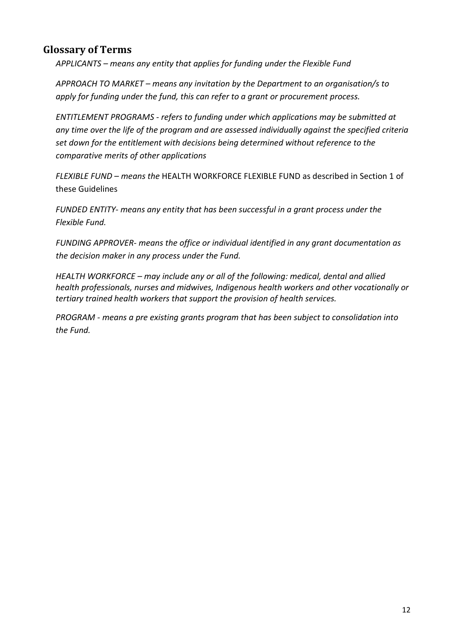# **Glossary of Terms**

*APPLICANTS – means any entity that applies for funding under the Flexible Fund* 

*APPROACH TO MARKET – means any invitation by the Department to an organisation/s to apply for funding under the fund, this can refer to a grant or procurement process.*

*ENTITLEMENT PROGRAMS - refers to funding under which applications may be submitted at any time over the life of the program and are assessed individually against the specified criteria set down for the entitlement with decisions being determined without reference to the comparative merits of other applications*

*FLEXIBLE FUND – means the* HEALTH WORKFORCE FLEXIBLE FUND as described in Section 1 of these Guidelines

*FUNDED ENTITY- means any entity that has been successful in a grant process under the Flexible Fund.*

*FUNDING APPROVER- means the office or individual identified in any grant documentation as the decision maker in any process under the Fund.*

*HEALTH WORKFORCE – may include any or all of the following: medical, dental and allied health professionals, nurses and midwives, Indigenous health workers and other vocationally or tertiary trained health workers that support the provision of health services.*

*PROGRAM - means a pre existing grants program that has been subject to consolidation into the Fund.*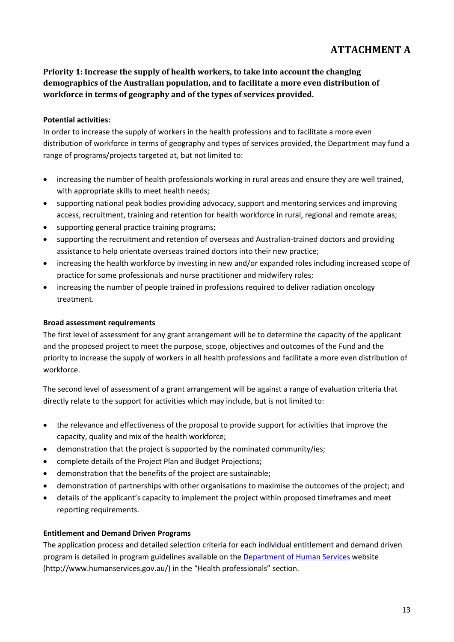# **ATTACHMENT A**

**Priority 1: Increase the supply of health workers, to take into account the changing demographics of the Australian population, and to facilitate a more even distribution of workforce in terms of geography and of the types of services provided.**

### **Potential activities:**

In order to increase the supply of workers in the health professions and to facilitate a more even distribution of workforce in terms of geography and types of services provided, the Department may fund a range of programs/projects targeted at, but not limited to:

- increasing the number of health professionals working in rural areas and ensure they are well trained, with appropriate skills to meet health needs;
- supporting national peak bodies providing advocacy, support and mentoring services and improving access, recruitment, training and retention for health workforce in rural, regional and remote areas;
- supporting general practice training programs;
- supporting the recruitment and retention of overseas and Australian-trained doctors and providing assistance to help orientate overseas trained doctors into their new practice;
- increasing the health workforce by investing in new and/or expanded roles including increased scope of practice for some professionals and nurse practitioner and midwifery roles;
- increasing the number of people trained in professions required to deliver radiation oncology treatment.

### **Broad assessment requirements**

The first level of assessment for any grant arrangement will be to determine the capacity of the applicant and the proposed project to meet the purpose, scope, objectives and outcomes of the Fund and the priority to increase the supply of workers in all health professions and facilitate a more even distribution of workforce.

The second level of assessment of a grant arrangement will be against a range of evaluation criteria that directly relate to the support for activities which may include, but is not limited to:

- the relevance and effectiveness of the proposal to provide support for activities that improve the capacity, quality and mix of the health workforce;
- demonstration that the project is supported by the nominated community/ies;
- complete details of the Project Plan and Budget Projections;
- demonstration that the benefits of the project are sustainable;
- demonstration of partnerships with other organisations to maximise the outcomes of the project; and
- details of the applicant's capacity to implement the project within proposed timeframes and meet reporting requirements.

### **Entitlement and Demand Driven Programs**

The application process and detailed selection criteria for each individual entitlement and demand driven program is detailed in program guidelines available on the [Department of Human Services](http://www.humanservices.gov.au/) website (http://www.humanservices.gov.au/) in the "Health professionals" section.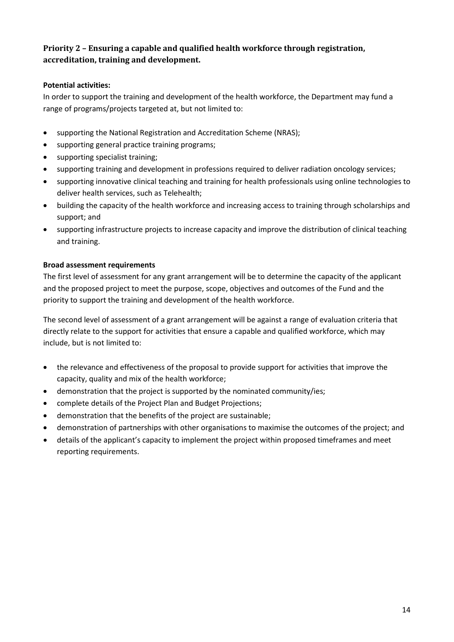## **Priority 2 – Ensuring a capable and qualified health workforce through registration, accreditation, training and development.**

### **Potential activities:**

In order to support the training and development of the health workforce, the Department may fund a range of programs/projects targeted at, but not limited to:

- supporting the National Registration and Accreditation Scheme (NRAS);
- supporting general practice training programs;
- supporting specialist training;
- supporting training and development in professions required to deliver radiation oncology services;
- supporting innovative clinical teaching and training for health professionals using online technologies to deliver health services, such as Telehealth;
- building the capacity of the health workforce and increasing access to training through scholarships and support; and
- supporting infrastructure projects to increase capacity and improve the distribution of clinical teaching and training.

### **Broad assessment requirements**

The first level of assessment for any grant arrangement will be to determine the capacity of the applicant and the proposed project to meet the purpose, scope, objectives and outcomes of the Fund and the priority to support the training and development of the health workforce.

The second level of assessment of a grant arrangement will be against a range of evaluation criteria that directly relate to the support for activities that ensure a capable and qualified workforce, which may include, but is not limited to:

- the relevance and effectiveness of the proposal to provide support for activities that improve the capacity, quality and mix of the health workforce;
- demonstration that the project is supported by the nominated community/ies;
- complete details of the Project Plan and Budget Projections;
- demonstration that the benefits of the project are sustainable;
- demonstration of partnerships with other organisations to maximise the outcomes of the project; and
- details of the applicant's capacity to implement the project within proposed timeframes and meet reporting requirements.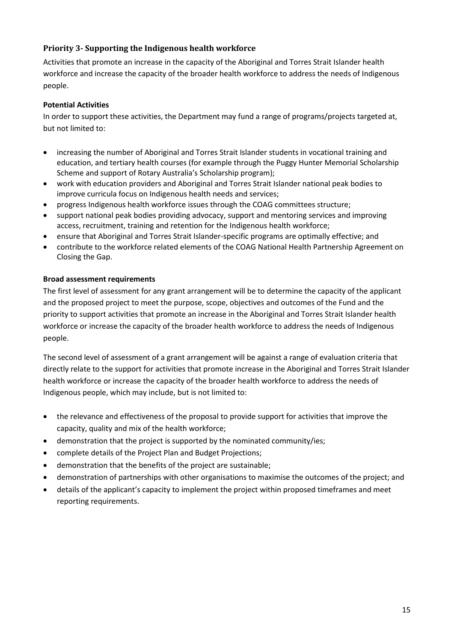# **Priority 3- Supporting the Indigenous health workforce**

Activities that promote an increase in the capacity of the Aboriginal and Torres Strait Islander health workforce and increase the capacity of the broader health workforce to address the needs of Indigenous people.

### **Potential Activities**

In order to support these activities, the Department may fund a range of programs/projects targeted at, but not limited to:

- increasing the number of Aboriginal and Torres Strait Islander students in vocational training and education, and tertiary health courses (for example through the Puggy Hunter Memorial Scholarship Scheme and support of Rotary Australia's Scholarship program);
- work with education providers and Aboriginal and Torres Strait Islander national peak bodies to improve curricula focus on Indigenous health needs and services;
- progress Indigenous health workforce issues through the COAG committees structure;
- support national peak bodies providing advocacy, support and mentoring services and improving access, recruitment, training and retention for the Indigenous health workforce;
- ensure that Aboriginal and Torres Strait Islander-specific programs are optimally effective; and
- contribute to the workforce related elements of the COAG National Health Partnership Agreement on Closing the Gap.

### **Broad assessment requirements**

The first level of assessment for any grant arrangement will be to determine the capacity of the applicant and the proposed project to meet the purpose, scope, objectives and outcomes of the Fund and the priority to support activities that promote an increase in the Aboriginal and Torres Strait Islander health workforce or increase the capacity of the broader health workforce to address the needs of Indigenous people.

The second level of assessment of a grant arrangement will be against a range of evaluation criteria that directly relate to the support for activities that promote increase in the Aboriginal and Torres Strait Islander health workforce or increase the capacity of the broader health workforce to address the needs of Indigenous people, which may include, but is not limited to:

- the relevance and effectiveness of the proposal to provide support for activities that improve the capacity, quality and mix of the health workforce;
- demonstration that the project is supported by the nominated community/ies;
- complete details of the Project Plan and Budget Projections;
- demonstration that the benefits of the project are sustainable;
- demonstration of partnerships with other organisations to maximise the outcomes of the project; and
- details of the applicant's capacity to implement the project within proposed timeframes and meet reporting requirements.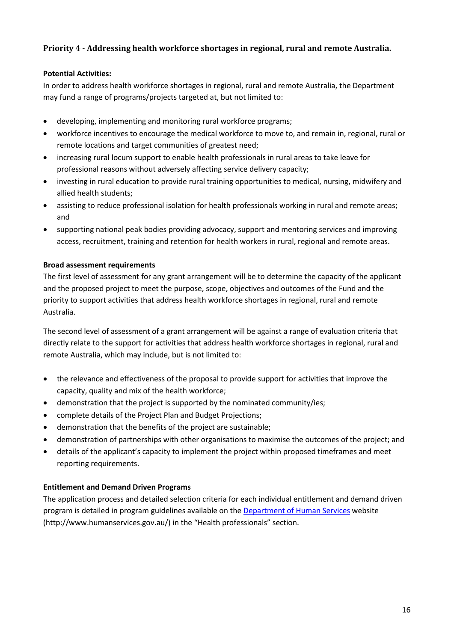### **Priority 4 - Addressing health workforce shortages in regional, rural and remote Australia.**

### **Potential Activities:**

In order to address health workforce shortages in regional, rural and remote Australia, the Department may fund a range of programs/projects targeted at, but not limited to:

- developing, implementing and monitoring rural workforce programs;
- workforce incentives to encourage the medical workforce to move to, and remain in, regional, rural or remote locations and target communities of greatest need;
- increasing rural locum support to enable health professionals in rural areas to take leave for professional reasons without adversely affecting service delivery capacity;
- investing in rural education to provide rural training opportunities to medical, nursing, midwifery and allied health students;
- assisting to reduce professional isolation for health professionals working in rural and remote areas; and
- supporting national peak bodies providing advocacy, support and mentoring services and improving access, recruitment, training and retention for health workers in rural, regional and remote areas.

### **Broad assessment requirements**

The first level of assessment for any grant arrangement will be to determine the capacity of the applicant and the proposed project to meet the purpose, scope, objectives and outcomes of the Fund and the priority to support activities that address health workforce shortages in regional, rural and remote Australia.

The second level of assessment of a grant arrangement will be against a range of evaluation criteria that directly relate to the support for activities that address health workforce shortages in regional, rural and remote Australia, which may include, but is not limited to:

- the relevance and effectiveness of the proposal to provide support for activities that improve the capacity, quality and mix of the health workforce;
- demonstration that the project is supported by the nominated community/ies;
- complete details of the Project Plan and Budget Projections;
- demonstration that the benefits of the project are sustainable;
- demonstration of partnerships with other organisations to maximise the outcomes of the project; and
- details of the applicant's capacity to implement the project within proposed timeframes and meet reporting requirements.

### **Entitlement and Demand Driven Programs**

The application process and detailed selection criteria for each individual entitlement and demand driven program is detailed in program guidelines available on the Department [of Human Services](http://www.humanservices.gov.au/) website (http://www.humanservices.gov.au/) in the "Health professionals" section.